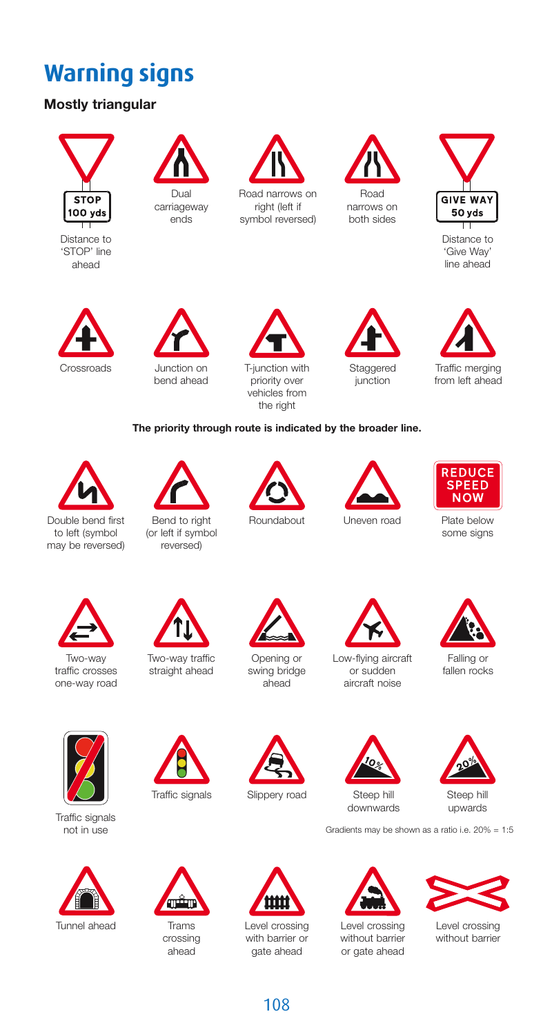## **Warning signs**

## **Mostly triangular**



Distance to 'STOP' line ahead



carriageway ends



Road narrows on right (left if symbol reversed)



narrows on both sides



Distance to 'Give Way' line ahead



bend ahead



vehicles from the right





Traffic merging from left ahead

## **The priority through route is indicated by the broader line.**



Double bend first to left (symbol may be reversed)



Bend to right (or left if symbol reversed)





**REDUCE SPEED NOW** 

Roundabout Uneven road Plate below some signs



traffic crosses one-way road



straight ahead



Opening or swing bridge ahead



Low-flying aircraft or sudden aircraft noise



Falling or fallen rocks



Traffic signals not in use

Tunnel ahead



Trams crossing ahead



with barrier or gate ahead





Gradients may be shown as a ratio i.e. 20% = 1:5



Level crossing without barrier or gate ahead



Level crossing without barrier



Traffic signals Slippery road Steep hill Steep hill<br>downwards upwards